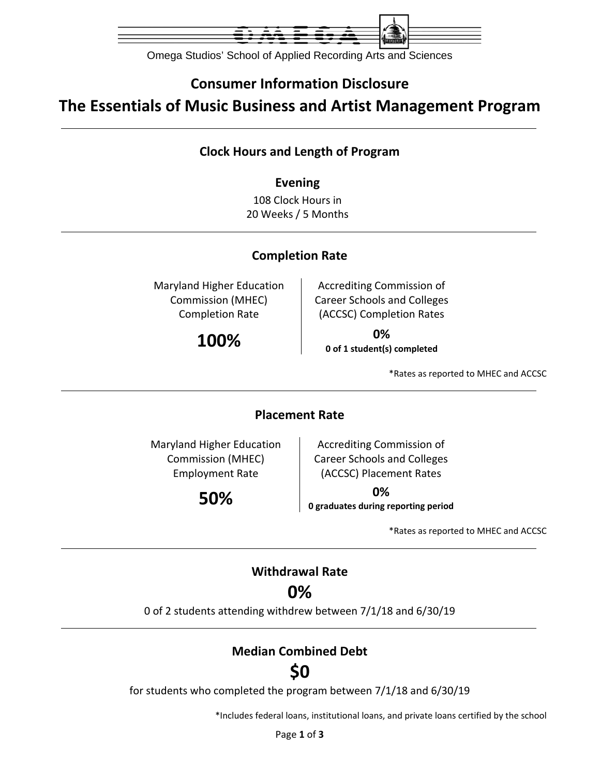

Omega Studios' School of Applied Recording Arts and Sciences

## **Consumer Information Disclosure**

**The Essentials of Music Business and Artist Management Program**

#### **Clock Hours and Length of Program**

#### **Evening**

108 Clock Hours in 20 Weeks / 5 Months

#### **Completion Rate**

Maryland Higher Education Commission (MHEC) Completion Rate

Accrediting Commission of Career Schools and Colleges (ACCSC) Completion Rates

**100% 0% 0 of 1 student(s) completed**

\*Rates as reported to MHEC and ACCSC

#### **Placement Rate**

Maryland Higher Education Commission (MHEC) Employment Rate

Accrediting Commission of Career Schools and Colleges (ACCSC) Placement Rates

**50% 0% 0 graduates during reporting period**

\*Rates as reported to MHEC and ACCSC

#### **Withdrawal Rate**

## **0%**

0 of 2 students attending withdrew between 7/1/18 and 6/30/19

### **Median Combined Debt**

# **\$0**

for students who completed the program between 7/1/18 and 6/30/19

\*Includes federal loans, institutional loans, and private loans certified by the school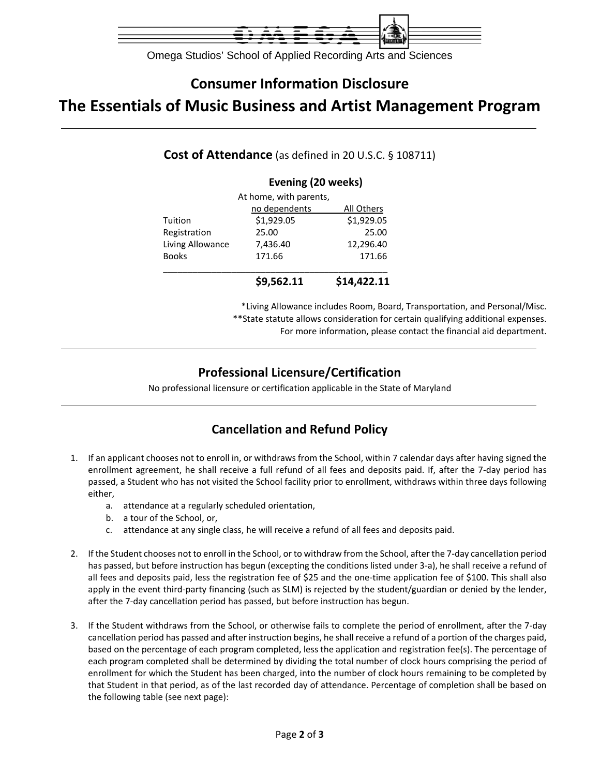

Omega Studios' School of Applied Recording Arts and Sciences

## **Consumer Information Disclosure**

# **The Essentials of Music Business and Artist Management Program**

| Cost of Attendance (as defined in 20 U.S.C. § 108711) |  |  |
|-------------------------------------------------------|--|--|
|-------------------------------------------------------|--|--|

#### **Evening (20 weeks)**

|                  | \$9,562.11             | \$14,422.11 |
|------------------|------------------------|-------------|
| <b>Books</b>     | 171.66                 | 171.66      |
| Living Allowance | 7,436.40               | 12,296.40   |
| Registration     | 25.00                  | 25.00       |
| Tuition          | \$1,929.05             | \$1,929.05  |
|                  | no dependents          | All Others  |
|                  | At home, with parents, |             |

\*Living Allowance includes Room, Board, Transportation, and Personal/Misc. \*\*State statute allows consideration for certain qualifying additional expenses. For more information, please contact the financial aid department.

#### **Professional Licensure/Certification**

No professional licensure or certification applicable in the State of Maryland

#### **Cancellation and Refund Policy**

- 1. If an applicant chooses not to enroll in, or withdraws from the School, within 7 calendar days after having signed the enrollment agreement, he shall receive a full refund of all fees and deposits paid. If, after the 7‐day period has passed, a Student who has not visited the School facility prior to enrollment, withdraws within three days following either,
	- a. attendance at a regularly scheduled orientation,
	- b. a tour of the School, or,
	- c. attendance at any single class, he will receive a refund of all fees and deposits paid.
- 2. If the Student chooses not to enroll in the School, or to withdraw from the School, after the 7‐day cancellation period has passed, but before instruction has begun (excepting the conditions listed under 3-a), he shall receive a refund of all fees and deposits paid, less the registration fee of \$25 and the one‐time application fee of \$100. This shall also apply in the event third-party financing (such as SLM) is rejected by the student/guardian or denied by the lender, after the 7‐day cancellation period has passed, but before instruction has begun.
- 3. If the Student withdraws from the School, or otherwise fails to complete the period of enrollment, after the 7‐day cancellation period has passed and after instruction begins, he shall receive a refund of a portion of the charges paid, based on the percentage of each program completed, less the application and registration fee(s). The percentage of each program completed shall be determined by dividing the total number of clock hours comprising the period of enrollment for which the Student has been charged, into the number of clock hours remaining to be completed by that Student in that period, as of the last recorded day of attendance. Percentage of completion shall be based on the following table (see next page):